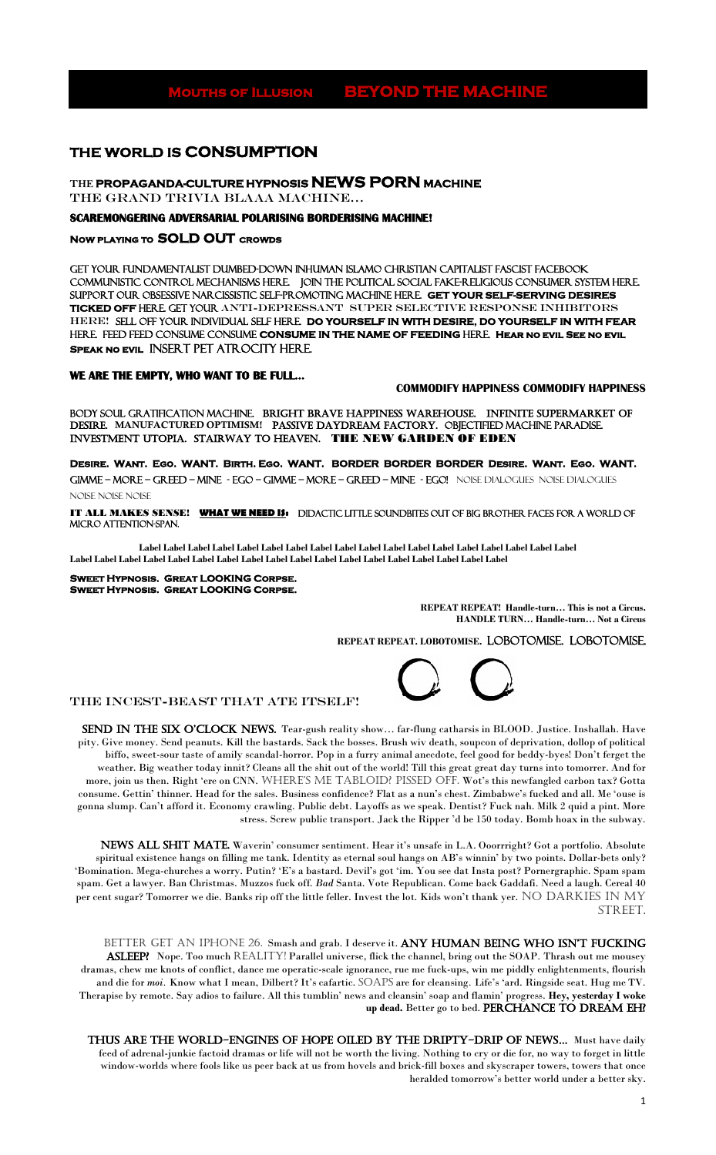1

# **Mouths of Illusion BEYOND THE MACHINE**

# **THE WORLD IS CONSUMPTION**

**THE PROPAGANDA-CULTURE HYPNOSIS NEWS PORN MACHINE** 

the GRAND TRIVIA BLAAA machine…

#### **SCAREMONGERING ADVERSARIAL POLARISING BORDERISING MACHINE!**

#### **Now playing to SOLD OUT crowds**

GET YOUR FUNDAMENTALIST DUMBED-DOWN INHUMAN ISLAMO CHRISTIAN CAPITALIST FASCIST FACEBOOK COMMUNISTIC CONTROL MECHANISMS HERE. JOIN THE POLITICAL SOCIAL FAKE-RELIGIOUS CONSUMER SYSTEM HERE. Support our Obsessive NARCISSISTIC self-promoting machine HERE. **GET YOUR SELF-SERVING DESIRES TICKED OFF** HERE. GET YOUR anti-depressant Super Selective Response Inhibitors HERE! SELL OFF YOUR INDIVIDUAL SELF HERE. **DO YOURSELF IN WITH DESIRE, DO YOURSELF IN WITH FEAR** HERE. FEED FEED CONSUME CONSUME **CONSUME IN THE NAME OF FEEDING** HERE. **Hear no evil See no evil Speak no evil** INSErT pet atrocity HERE.

#### **WE ARE THE EMPTY, WHO WANT TO BE FULL…**

#### **COMMODIFY HAPPINESS COMMODIFY HAPPINESS**

body soul gratification machine. bright brave happiness warehouse. INFINITE SUPERMARKET OF DESIRE. MANUFACTURED OPTIMISM! PassivE DAYDREAM FACTORY. OBJECTIFIED MACHINE PARADISE. INVESTMENT UTOpia. Stairway to heaven. THE NEW GARDEN OF EDEN

**Desire. Want. Ego. WANT. Birth. Ego. WANT. BORDER BORDER BORDER Desire. Want. Ego. WANT.**  Gimme – More – Greed – MINE - Ego – Gimme – More – Greed – MINE - Ego! Noise dialogues Noise dialogues NOISE NOISE NOISE

IT ALL MAKES SENSE! **WHAT WE NEED IS:** didactic little soundbites out of big brother faces for a world of micro attention-span.

SEND IN THE SIX O'CLOCK NEWS. Tear-gush reality show... far-flung catharsis in BLOOD. Justice. Inshallah. Have pity. Give money. Send peanuts. Kill the bastards. Sack the bosses. Brush wiv death, soupcon of deprivation, dollop of political biffo, sweet-sour taste of amily scandal-horror. Pop in a furry animal anecdote, feel good for beddy-byes! Don't ferget the weather. Big weather today innit? Cleans all the shit out of the world! Till this great great day turns into tomorrer. And for more, join us then. Right 'ere on CNN. WHERE'S ME TABLOID? PISSED OFF. Wot's this newfangled carbon tax? Gotta consume. Gettin' thinner. Head for the sales. Business confidence? Flat as a nun's chest. Zimbabwe's fucked and all. Me 'ouse is gonna slump. Can't afford it. Economy crawling. Public debt. Layoffs as we speak. Dentist? Fuck nah. Milk 2 quid a pint. More stress. Screw public transport. Jack the Ripper 'd be 150 today. Bomb hoax in the subway.

**Label Label Label Label Label Label Label Label Label Label Label Label Label Label Label Label Label Label Label Label Label Label Label Label Label Label Label Label Label Label Label Label Label Label Label Label** 

**Sweet Hypnosis. Great LOOKING Corpse. Sweet Hypnosis. Great LOOKING Corpse.** 

NEWS ALL SHIT MATE. Waverin' consumer sentiment. Hear it's unsafe in L.A. Ooorrright? Got a portfolio. Absolute spiritual existence hangs on filling me tank. Identity as eternal soul hangs on AB's winnin' by two points. Dollar-bets only? 'Bomination. Mega-churches a worry. Putin? 'E's a bastard. Devil's got 'im. You see dat Insta post? Pornergraphic. Spam spam spam. Get a lawyer. Ban Christmas. Muzzos fuck off. *Bad* Santa. Vote Republican. Come back Gaddafi. Need a laugh. Cereal 40 per cent sugar? Tomorrer we die. Banks rip off the little feller. Invest the lot. Kids won't thank yer. NO DARKIES IN MY street.

BETTER GET AN IPHONE 26. Smash and grab. I deserve it. ANY HUMAN BEING WHO ISN'T FUCKING ASLEEP? Nope. Too much REALITY! Parallel universe, flick the channel, bring out the SOAP. Thrash out me mousey dramas, chew me knots of conflict, dance me operatic-scale ignorance, rue me fuck-ups, win me piddly enlightenments, flourish and die for *moi*. Know what I mean, Dilbert? It's cafartic. SOAPS are for cleansing. Life's 'ard. Ringside seat. Hug me TV. Therapise by remote. Say adios to failure. All this tumblin' news and cleansin' soap and flamin' progress. **Hey, yesterday I woke**  up dead. Better go to bed. PERCHANCE TO DREAM EH?

**REPEAT REPEAT! Handle-turn… This is not a Circus. HANDLE TURN… Handle-turn… Not a Circus** 

**REPEAT REPEAT. LOBOTOMISE.** LOBOTOMISE. LOBOTOMISE.



#### The INCEST-Beast that ate Itself!

THUS ARE THE WORLD-ENGINES OF HOPE OILED BY THE DRIPTY-DRIP OF NEWS... Must have daily feed of adrenal-junkie factoid dramas or life will not be worth the living. Nothing to cry or die for, no way to forget in little window-worlds where fools like us peer back at us from hovels and brick-fill boxes and skyscraper towers, towers that once heralded tomorrow's better world under a better sky.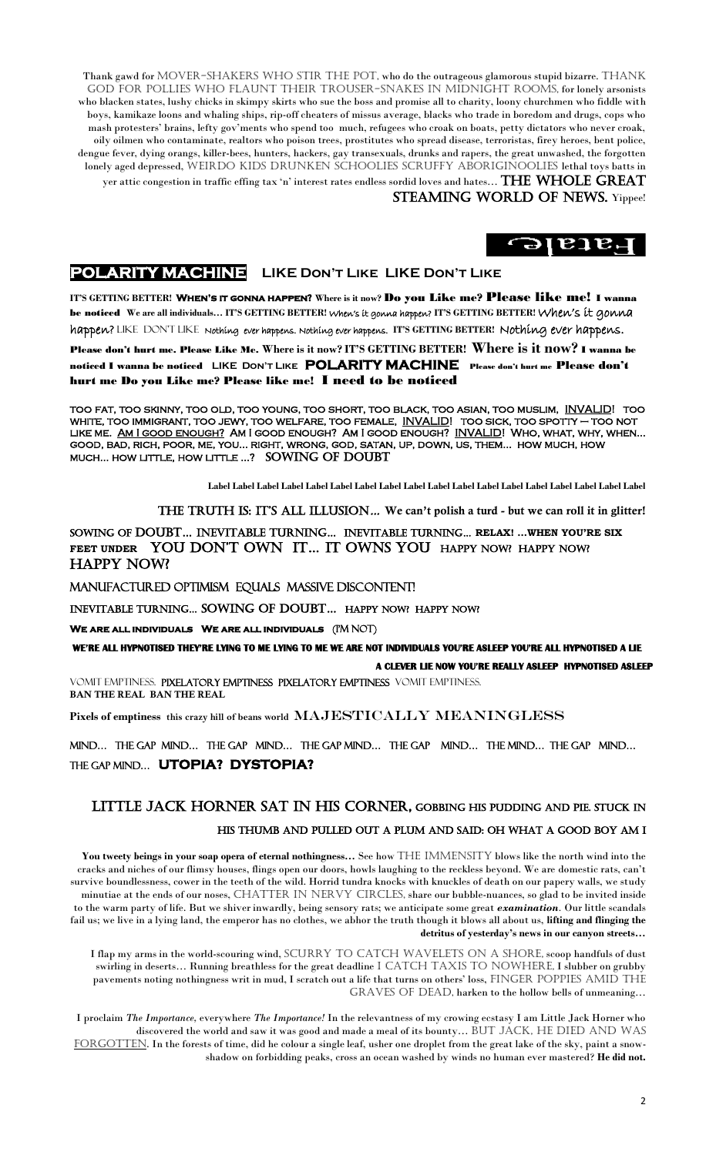Thank gawd for MOVER-SHAKERS WHO STIR THE POT, who do the outrageous glamorous stupid bizarre. THANK god for pollies who flaunt their trouser-snakes in midnight rooms, for lonely arsonists who blacken states, lushy chicks in skimpy skirts who sue the boss and promise all to charity, loony churchmen who fiddle with boys, kamikaze loons and whaling ships, rip-off cheaters of missus average, blacks who trade in boredom and drugs, cops who mash protesters' brains, lefty gov'ments who spend too much, refugees who croak on boats, petty dictators who never croak, oily oilmen who contaminate, realtors who poison trees, prostitutes who spread disease, terroristas, firey heroes, bent police, dengue fever, dying orangs, killer-bees, hunters, hackers, gay transexuals, drunks and rapers, the great unwashed, the forgotten lonely aged depressed, WEIRDO KIDS DRUNKEN SCHOOLIES SCRUFFY ABORIGINOOLIES lethal toys batts in

yer attic congestion in traffic effing tax 'n' interest rates endless sordid loves and hates…  $\rm{THE}$  WHOLE GREAT STEAMING WORLD OF NEWS. Yippee!

# $\Theta$  is a set of  $\Theta$

# **POLARITY MACHINE LIKE Don't Like LIKE Don't Like**

**IT'S GETTING BETTER! When's it gonna happen? Where is it now?** Do you Like me? Please like me!I wanna be noticed **We are all individuals… IT'S GETTING BETTER!** When's it gonna happen? **IT'S GETTING BETTER!** When's it gonna happen? LIKE Don't Like Nothing ever happens. Nothing ever happens. **IT'S GETTING BETTER!** Nothing ever happens. Please don't hurt me. Please Like Me. **Where is it now? IT'S GETTING BETTER! Where is it now?** I wanna be noticed I wanna be noticed **LIKE Don't Like POLARITY MACHINE** Please don't hurt me Please don't hurt me Do you Like me? Please like me! I need to be noticed

too fat, too skinny, too old, too young, too short, too black, too asian, too muslim, INVALID! too white, too immigrant, too jewy, too welfare, too female, INVALID! too sick, too spotty – too not LIKE ME. AM I GOOD ENOUGH? AM I GOOD ENOUGH? AM I GOOD ENOUGH? INVALID! WHO, WHAT, WHY, WHEN... good, bad, rich, poor, me, you… right, wrong, god, satan, up, down, us, them… how much, how much… how little, how little …? sowing of doubt

You tweety beings in your soap opera of eternal nothingness... See how THE IMMENSITY blows like the north wind into the cracks and niches of our flimsy houses, flings open our doors, howls laughing to the reckless beyond. We are domestic rats, can't survive boundlessness, cower in the teeth of the wild. Horrid tundra knocks with knuckles of death on our papery walls, we study minutiae at the ends of our noses, CHATTER IN NERVY CIRCLES, share our bubble-nuances, so glad to be invited inside to the warm party of life. But we shiver inwardly, being sensory rats; we anticipate some great *examination.* Our little scandals fail us; we live in a lying land, the emperor has no clothes, we abhor the truth though it blows all about us, **lifting and flinging the detritus of yesterday's news in our canyon streets…**

I flap my arms in the world-scouring wind, SCURRY TO CATCH WAVELETS ON A SHORE, scoop handfuls of dust swirling in deserts... Running breathless for the great deadline I CATCH TAXIS TO NOWHERE, I slubber on grubby pavements noting nothingness writ in mud, I scratch out a life that turns on others' loss, FINGER POPPIES AMID THE GRAVES OF DEAD, harken to the hollow bells of unmeaning...

**Label Label Label Label Label Label Label Label Label Label Label Label Label Label Label Label Label Label** 

THE TRUTH IS: IT'S ALL ILLUSION... We can't polish a turd - but we can roll it in glitter!

sowing of doubt… inevitable turning… inevitable turning… **RELAX! …WHEN YOU'RE SIX**  FEET UNDER YOU DON'T OWN IT... IT OWNS YOU HAPPY NOW? HAPPY NOW? HAPPY NOW?

MANUFACTURED OPTIMISM equals MASSIVE DISCONTENT!

Inevitable turning… SoWing of doubt… HAPPY NOW? HAPPY now?

**WE ARE ALL INDIVIDUALS WE ARE ALL INDIVIDUALS** (I'M NOT)

 **WE'RE ALL HYPNOTISED THEY'RE LYING TO ME LYING TO ME WE ARE NOT INDIVIDUALS YOU'RE ASLEEP YOU'RE ALL HYPNOTISED A LIE A CLEVER LIE NOW YOU'RE REALLY ASLEEP HYPNOTISED ASLEEP** 

vomit emptiness. Pixelatory Emptiness Pixelatory Emptiness vomit emptiness. BAN THE REAL BAN THE REAL

**Pixels of emptiness this crazy hill of beans world** MAJEsTICALLY MEANINGLESS

MIND… THE GAP MIND… THE GAP MIND… THE GAP MIND… THE GAP MIND… THE MIND… THE GAP MIND… THE GAP MIND… **UTOPIA? DYSTOPIA?**

### Little Jack Horner sat in his corner, gobbing his pudding and pie. stuck in

#### his thumb and pulled out a plum and said: oh what a good boy am I

I proclaim *The Importance,* everywhere *The Importance!* In the relevantness of my crowing ecstasy I am Little Jack Horner who discovered the world and saw it was good and made a meal of its bounty... BUT JACK, HE DIED AND WAS FORGOTTEN. In the forests of time, did he colour a single leaf, usher one droplet from the great lake of the sky, paint a snowshadow on forbidding peaks, cross an ocean washed by winds no human ever mastered? **He did not.**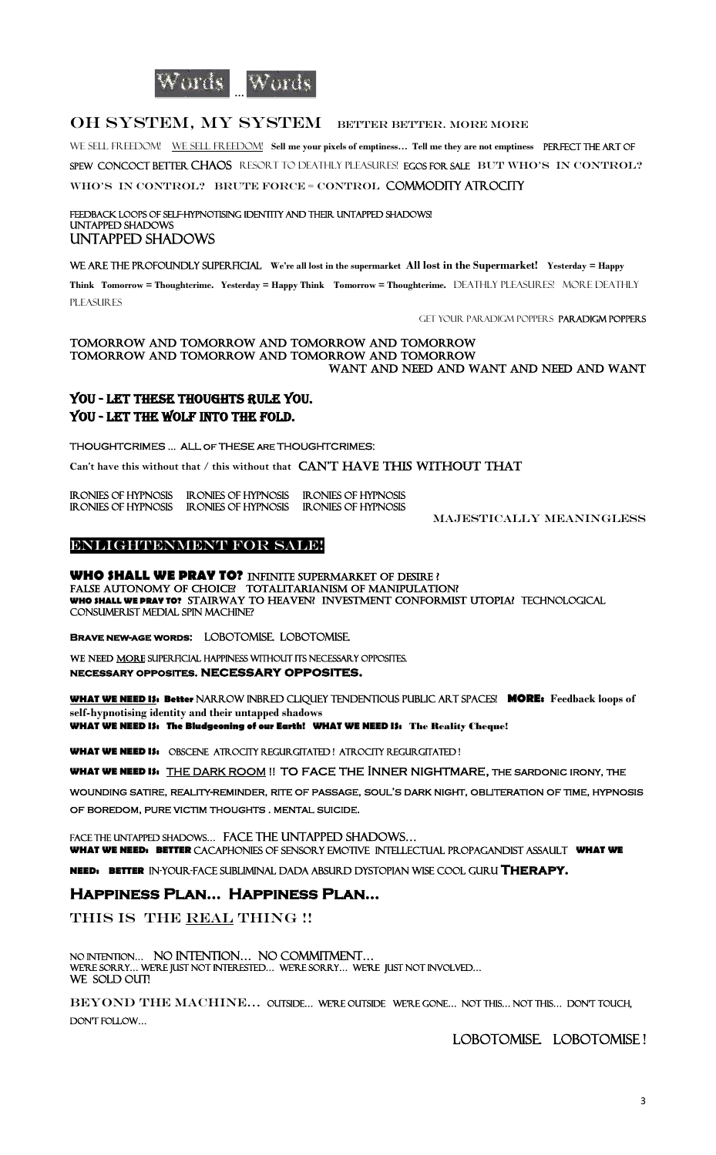

### OH SYSTEM, MY SYSTEM BETTER BETTER. MORE MORE

WE SELL FREEDOM! WE SELL FREEDOM! Sell me your pixels of emptiness... Tell me they are not emptiness PERFECT THE ART OF SPEW CONCOCT BETTER CHAOS RESORT TO DEATHLY PLEASURES! EGOS FOR SALE BUT WHO'S IN CONTROL?

WHO'S IN CONTROL? BRUTE FORCE = CONTROL COMMODITY ATROCITY

#### FEEDBACK LOOPS OF SELF-HYPNOTISING IDENTITY AND THEIR UNTAPPED SHADOWS! untapped shadows untapped shadows

WE ARE THE PROFOUNDLY SUPERFICIAL We're all lost in the supermarket All lost in the Supermarket! Yesterday = Happy

**Think Tomorrow = Thoughtcrime. Yesterday = Happy Think Tomorrow = Thoughtcrime.** DEATHLY PLEASURES! MORE DEATHLY **PLEASURES** 

# YOU - let these thoughts rule you. YOU - LET THE WOLF INTO THE FOLD.

#### Enlightenment for sale! Ξ

GET YOUR Paradigm Poppers Paradigm Poppers

#### TOMORROW AND TOMORROW and tomorrow and tomorrow TOMORROW AND TOMORROW and tomorrow and tomorrow Want and Need and Want and need and Want

WE NEED MORE SUPERFICIAL HAPPINESS WITHOUT ITS NECESSARY OPPOSITES. **necessary opposites. necessary opposites.** 

THOUGHTCRIMES … ALL of THESE are THOUGHTCRIMES:

**Can't have this without that / this without that CAN'T HAVE THIS WITHOUT THAT** 

| IR ONIES OF HYPNOSIS | IR ONIES OF HYPNOSIS | IR ONIES OF HYPNOSIS |
|----------------------|----------------------|----------------------|
| IR ONIES OF HYPNOSIS | IR ONIES OF HYPNOSIS | IR ONIES OF HYPNOSIS |

FACE THE UNTAPPED SHADOWS... FACE THE UNTAPPED SHADOWS... **WHAT WE NEED: BETTER** cacaphonies of sensory emotive intellectual propagandist assault **WHAT WE** 

MAJEsTICALLY MEANINGLESS

#### No Intention… No Intention… No Commitment… WE'RE SORRY... WE'RE JUST NOT INTERESTED... WE'RE SORRY... WE'RE JUST NOT INVOLVED... WE SOLD OUT!

**WHO SHALL WE PRAY TO?** INFINITE SUPERMARKET OF DESIRE ? FALSE AUTONOMY OF CHOICE? TOTALITARIANISM OF MANIPULATION? **WHO SHALL WE PRAY TO?** Stairway to heaven? InVESTMENT conformist UTOpia? technological consumerist medial SPIN MACHINE?

BEYOND THE MACHINE... OUTSIDE... WERE OUTSIDE WE'RE GONE... NOT THIS... NOT THIS... DON'T TOUCH, don't follow…

**Brave new-age words:** LOBOTOMISE. LOBOTOMISE.

**WHAT WE NEED IS: Better** Narrow INBRED cliquey tendentious public Art spaces! **MORE: Feedback loops of self-hypnotising identity and their untapped shadows** 

**WHAT WE NEED IS: The Bludgeoning of our Earth! WHAT WE NEED IS:** The Reality Cheque!

**WHAT WE NEED IS:** Obscene Atrocity REGURGITATED ! Atrocity REGURGITATED !

**WHAT WE NEED IS:** THE DARK ROOM !! to face the Inner nightmare, the sardonic irony, the

wounding satire, reality-reminder, rite of passage, soul's dark night, obliteration of time, hypnosis of boredom, pure victim thoughts . mental suicide.

**NEED: BETTER** in-your-face subliminal dada absurd dystopian wise cooL Guru **Therapy.**

# **Happiness Plan… Happiness Plan…**

#### This is the Real Thing !!

# Lobotomise. Lobotomise !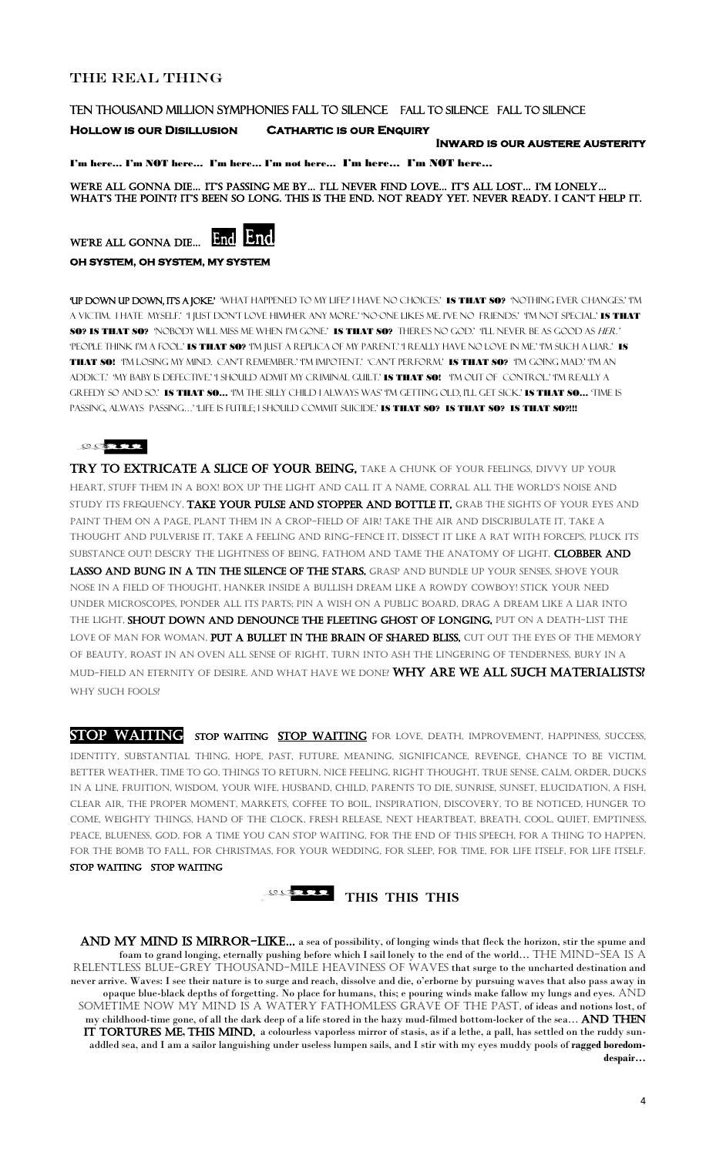### the Real Thing

#### TEN THOUSAND MILLION SYMPHONIES FALL TO SILENCE FALL TO SILENCE FALL TO SILENCE

#### **Hollow is our Disillusion Cathartic is our Enquiry**

We're all gonna die… it'S PaSSing me by… i'll never find love… it'S all loSt… i'm lonely… WHAT'S THE POINT? IT'S BEEN SO LONG. THIS IS THE END. NOT READY YET. NEVER READY. I CAN'T HELP IT.

WE'RE ALL GONNA DIE... End End.

**Inward is our austere austerity** 

I'm here… I'm NOT here… I'm here… I'm not here… I'm here… I'm NOT here…

**OH SYSTEM, OH SYSTEM, MY SYSTEM** 

'UP DOWN UP DOWN, IT'S A JOKE.' WHAT HAPPENED TO MY LIFE?' I HAVE NO CHOICES.' IS THAT SO? NOTHING EVER CHANGES.' 'IM A VICTIM. I HATE MYSELF.' I JUST DON'T LOVE HIMHER ANY MORE.' NO-ONE LIKES ME. I'VE NO FRIENDS.' I'M NOT SPECIAL.' **IS THAT** SO? IS THAT SO? 'NOBODY WILL MISS ME WHEN I'M GONE.' IS THAT SO? THERE'S NO GOD.' 'I'LL NEVER BE AS GOOD AS HER.' 'PEOPLE THINK I'M A FOOL.' **IS THAT SO?** 'I'M JUST A REPLICA OF MY PARENT.' I REALLY HAVE NO LOVE IN ME.' I'M SUCH A LIAR.' **IS** THAT SO! 'I'm losing my mind. can't remember.' 'I'm impotent.' 'can't perform.' IS THAT SO? 'I'm going mad.' 'I'm an ADDICT.' 'MY BABY IS DEFECTIVE.' I SHOULD ADMIT MY CRIMINAL GUILT.' **IS THAT SO!** "I'M OUT OF CONTROL.' "I'M REALLY A GREEDY SO AND SO.' IS THAT SO... TM THE SILLY CHILD I ALWAYS WAS TM GETTING OLD, I'LL GET SICK.' IS THAT SO... TIME IS PASSING, ALWAYS PASSING…' 'LIFE IS FUTILE; I SHOULD COMMIT SUICIDE.' IS THAT SO? IS THAT SO? IS THAT SO?!!!

#### ROTTE

TRY TO EXTRICATE A SLICE OF YOUR BEING, TAKE A CHUNK OF YOUR FEELINGS, DIVVY UP YOUR heart, stuff them in a box! box uP the light and call it a name, corral all the World'S noiSe and STUDY ITS FREQUENCY, TAKE YOUR PULSE AND STOPPER AND BOTTLE IT, GRAB THE SIGHTS OF YOUR EYES AND paint them on a page, plant them in a crop-field of air! Take the air and discribulate it, take a thought and pulverise it, take a feeling and ring-fence it, dissect it like a rat with forceps, pluck its SUBSTANCE OUT! DESCRY THE LIGHTNESS OF BEING, FATHOM AND TAME THE ANATOMY OF LIGHT, CLOBBER AND LASSO AND BUNG IN A TIN THE SILENCE OF THE STARS, GRASP AND BUNDLE UP YOUR SENSES, SHOVE YOUR nose in a field of thought, hanker inside a bullish dream like a rowdy cowboy! Stick your need under microscopes, ponder all its parts; pin a wish on a public board, drag a dream like a liar into the light, shout down and denounce the fleeting ghost of longing, put on a death-list the LOVE OF MAN FOR WOMAN, PUT A BULLET IN THE BRAIN OF SHARED BLISS, CUT OUT THE EYES OF THE MEMORY of beauty, roast in an oven all sense of right, turn into ash the lingering of tenderness, bury in a mud-field an eternity of desire. And what have we done? WHY ARE WE ALL SUCH MATERIALISTS? WHY SUCH FOOLS?

STOP WAITING STOP WAITING STOP WAITING FOR LOVE, DEATH, IMPROVEMENT, HAPPINESS, SUCCESS, identity, substantial thing, hope, past, future, meaning, significance, revenge, chance to be victim, better weather, time to go, things to return, nice feeling, right thought, true sense, calm, order, ducks in a line, fruition, wisdom, your wife, husband, child, parents to die, sunrise, sunset, elucidation, a fish, clear air, the proper moment, markets, coffee to boil, inspiration, discovery, to be noticed, hunger to come, weighty things, hand of the clock, fresh release, next heartbeat, breath, cool, quiet, emptiness, peace, blueness, god, for a time you can stop waiting, for the end of this speech, for a thing to happen, for the bomb to fall, for christmas, for your wedding, for sleep, for time, for life itself, for life itself. Stop waiting stop waiting

AND MY MIND IS MIRROR-LIKE... a sea of possibility, of longing winds that fleck the horizon, stir the spume and foam to grand longing, eternally pushing before which I sail lonely to the end of the world... THE MIND-SEA IS A RELENTLESS BLUE-GREY THOUSAND-MILE HEAVINESS OF WAVES that surge to the uncharted destination and never arrive. Waves: I see their nature is to surge and reach, dissolve and die, o'erborne by pursuing waves that also pass away in opaque blue-black depths of forgetting. No place for humans, this; e pouring winds make fallow my lungs and eyes. AND sometime now my mind is a watery fathomless grave of the past, of ideas and notions lost, of my childhood-time gone, of all the dark deep of a life stored in the hazy mud-filmed bottom-locker of the sea... AND THEN IT TORTURES ME, THIS MIND, a colourless vaporless mirror of stasis, as if a lethe, a pall, has settled on the ruddy sunaddled sea, and I am a sailor languishing under useless lumpen sails, and I stir with my eyes muddy pools of **ragged boredomdespair…**

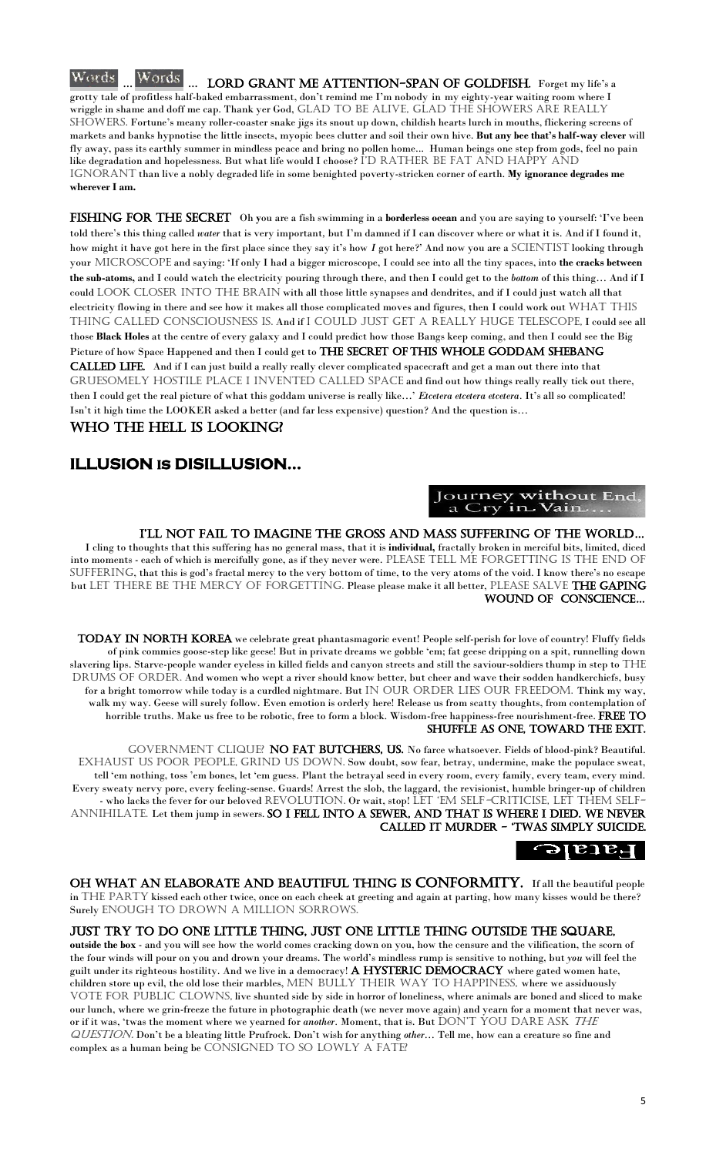#### Words. Words ... LORD GRANT ME ATTENTION-SPAN OF GOLDFISH. Forget my life's a grotty tale of profitless half-baked embarrassment, don't remind me I'm nobody in my eighty-year waiting room where I wriggle in shame and doff me cap. Thank yer God, GLAD TO BE ALIVE, GLAD THE SHOWERS ARE REALLY SHOWERS. Fortune's meany roller-coaster snake jigs its snout up down, childish hearts lurch in mouths, flickering screens of markets and banks hypnotise the little insects, myopic bees clutter and soil their own hive. **But any bee that's half-way clever** will fly away, pass its earthly summer in mindless peace and bring no pollen home... Human beings one step from gods, feel no pain like degradation and hopelessness. But what life would I choose? I'D RATHER BE FAT AND HAPPY AND IGNORANT than live a nobly degraded life in some benighted poverty-stricken corner of earth. My ignorance degrades me **wherever I am.**

FISHING FOR THE SECRET Oh you are a fish swimming in a **borderless ocean** and you are saying to yourself: 'I've been told there's this thing called *water* that is very important*,* but I'm damned if I can discover where or what it is. And if I found it, how might it have got here in the first place since they say it's how *I* got here?' And now you are a SCIENTIST looking through your microscope and saying: 'If only I had a bigger microscope, I could see into all the tiny spaces, into **the cracks between the sub-atoms,** and I could watch the electricity pouring through there, and then I could get to the *bottom* of this thing… And if I could LOOK CLOSER INTO THE BRAIN with all those little synapses and dendrites, and if I could just watch all that electricity flowing in there and see how it makes all those complicated moves and figures, then I could work out WHAT THIS thing called Consciousness is. And if I could just get a really huge telescope, I could see all those **Black Holes** at the centre of every galaxy and I could predict how those Bangs keep coming, and then I could see the Big Picture of how Space Happened and then I could get to THE SECRET OF THIS WHOLE GODDAM SHEBANG CALLED LIFE. And if I can just build a really really clever complicated spacecraft and get a man out there into that GRUESOMELY HOSTILE PLACE I INVENTED CALLED SPACE and find out how things really really tick out there, then I could get the real picture of what this goddam universe is really like…' *Etcetera etcetera etcetera.* It's all so complicated! Isn't it high time the LOOKER asked a better (and far less expensive) question? And the question is…

# WHO THE HELL IS LOOKING?

I cling to thoughts that this suffering has no general mass, that it is **individual,** fractally broken in merciful bits, limited, diced into moments - each of which is mercifully gone, as if they never were. PLEASE TELL ME FORGETTING IS THE END OF SUFFERING, that this is god's fractal mercy to the very bottom of time, to the very atoms of the void. I know there's no escape but LET THERE BE THE MERCY OF FORGETTING. Please please make it all better, PLEASE SALVE THE GAPING WOUND OF CONSCIENCE...

TODAY IN NORTH KOREA we celebrate great phantasmagoric event! People self-perish for love of country! Fluffy fields of pink commies goose-step like geese! But in private dreams we gobble 'em; fat geese dripping on a spit, runnelling down slavering lips. Starve-people wander eyeless in killed fields and canyon streets and still the saviour-soldiers thump in step to  $\rm{THE}$ DRUMS OF ORDER. And women who wept a river should know better, but cheer and wave their sodden handkerchiefs, busy for a bright tomorrow while today is a curdled nightmare. But IN OUR ORDER LIES OUR FREEDOM. Think my way, walk my way. Geese will surely follow. Even emotion is orderly here! Release us from scatty thoughts, from contemplation of horrible truths. Make us free to be robotic, free to form a block. Wisdom-free happiness-free nourishment-free. FREE TO shuffle as one, toward the exit.

GOVERNMENT CLIQUE? NO FAT BUTCHERS, US. No farce whatsoever. Fields of blood-pink? Beautiful. EXHAUST US POOR PEOPLE, GRIND US DOWN. Sow doubt, sow fear, betray, undermine, make the populace sweat, tell 'em nothing, toss 'em bones, let 'em guess. Plant the betrayal seed in every room, every family, every team, every mind. Every sweaty nervy pore, every feeling-sense. Guards! Arrest the slob, the laggard, the revisionist, humble bringer-up of children - who lacks the fever for our beloved REVOLUTION. Or wait, stop! LET 'EM SELF-CRITICISE, LET THEM SELF-ANNIHILATE. Let them jump in sewers. SO I FELL INTO A SEWER, AND THAT IS WHERE I DIED. WE NEVER called it murder - 'tWaS SimPly Suicide.



OH WHAT AN ELABORATE AND BEAUTIFUL THING IS CONFORMITY. If all the beautiful people in THE PARTY kissed each other twice, once on each cheek at greeting and again at parting, how many kisses would be there? Surely ENOUGH TO DROWN A MILLION SORROWS.

**outside the box** - and you will see how the world comes cracking down on you, how the censure and the vilification, the scorn of the four winds will pour on you and drown your dreams. The world's mindless rump is sensitive to nothing, but *you* will feel the guilt under its righteous hostility. And we live in a democracy! A HYSTERIC DEMOCRACY where gated women hate, children store up evil, the old lose their marbles, MEN BULLY THEIR WAY TO HAPPINESS, where we assiduously VOTE FOR PUBLIC CLOWNS, live shunted side by side in horror of loneliness, where animals are boned and sliced to make our lunch, where we grin-freeze the future in photographic death (we never move again) and yearn for a moment that never was, or if it was, 'twas the moment where we yearned for *another*. Moment, that is. But DON'T YOU DARE ASK THE question. Don't be a bleating little Prufrock. Don't wish for anything *other…* Tell me, how can a creature so fine and complex as a human being be CONSIGNED TO SO LOWLY A FATE?

### **ILLUSION is DISILLUSION…**

### Journey without End a Cry in Vain...

# I'LL NOT FAIL TO IMAGINE THE GROSS AND MASS SUFFERING OF THE WORLD...

#### Just try to do one little thing, just one little thing outside the square,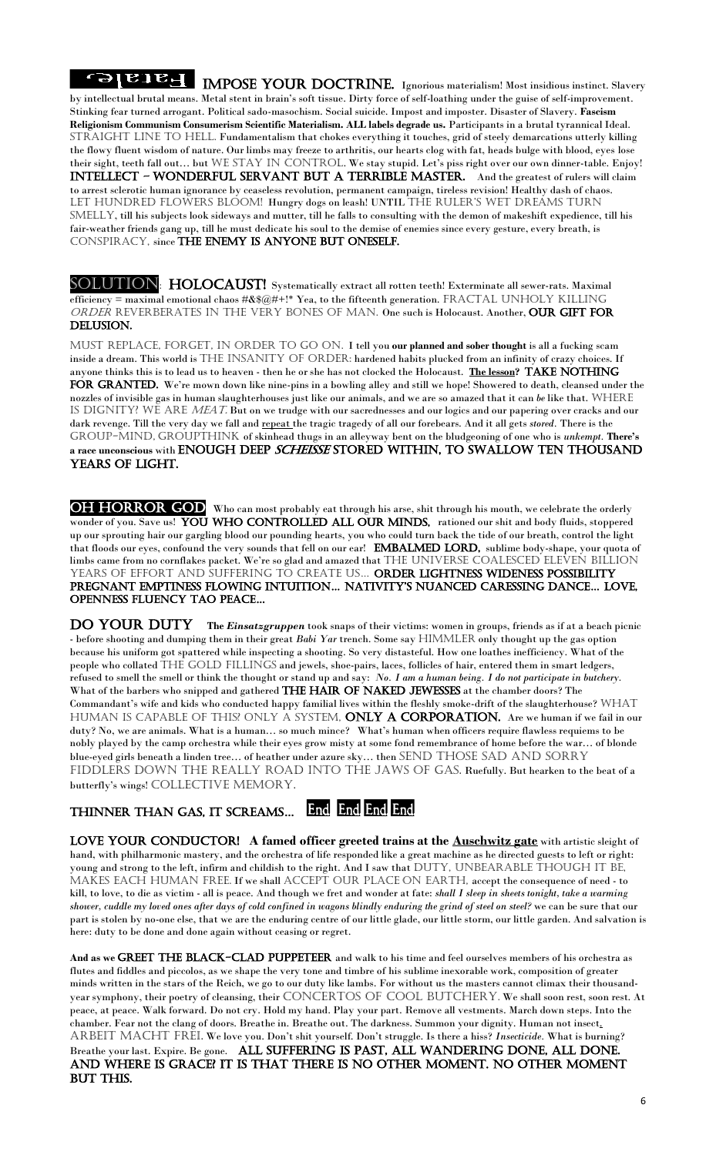**IMPOSE YOUR DOCTRINE.** Ignorious materialism! Most insidious instinct. Slavery by intellectual brutal means. Metal stent in brain's soft tissue. Dirty force of self-loathing under the guise of self-improvement. Stinking fear turned arrogant. Political sado-masochism. Social suicide. Impost and imposter. Disaster of Slavery. **Fascism Religionism Communism Consumerism Scientific Materialism. ALL labels degrade us.** Participants in a brutal tyrannical Ideal. STRAIGHT LINE TO HELL. Fundamentalism that chokes everything it touches, grid of steely demarcations utterly killing the flowy fluent wisdom of nature. Our limbs may freeze to arthritis, our hearts clog with fat, heads bulge with blood, eyes lose their sight, teeth fall out... but WE STAY IN CONTROL. We stay stupid. Let's piss right over our own dinner-table. Enjoy! **INTELLECT - WONDERFUL SERVANT BUT A TERRIBLE MASTER.** And the greatest of rulers will claim to arrest sclerotic human ignorance by ceaseless revolution, permanent campaign, tireless revision! Healthy dash of chaos. LET HUNDRED FLOWERS BLOOM! Hungry dogs on leash! UNTIL THE RULER'S WET DREAMS TURN SMELLY, till his subjects look sideways and mutter, till he falls to consulting with the demon of makeshift expedience, till his fair-weather friends gang up, till he must dedicate his soul to the demise of enemies since every gesture, every breath, is conspiracy, since the enemy is anyone but ONEself.

SOLUTION: HOLOCAUST! Systematically extract all rotten teeth! Exterminate all sewer-rats. Maximal efficiency = maximal emotional chaos  $\#\& \mathcal{R}\& \mathcal{Q}\#+!\$ \* Yea, to the fifteenth generation. FRACTAL UNHOLY KILLING ORDER REVERBERATES IN THE VERY BONES OF MAN. One such is Holocaust. Another, OUR GIFT FOR delusion.

MUST REPLACE, FORGET, IN ORDER TO GO ON. I tell you our planned and sober thought is all a fucking scam inside a dream. This world is THE INSANITY OF ORDER: hardened habits plucked from an infinity of crazy choices. If anyone thinks this is to lead us to heaven - then he or she has not clocked the Holocaust. The lesson? TAKE NOTHING FOR GRANTED. We're mown down like nine-pins in a bowling alley and still we hope! Showered to death, cleansed under the nozzles of invisible gas in human slaughterhouses just like our animals, and we are so amazed that it can *be* like that. WHERE IS DIGNITY? WE ARE MEAT. But on we trudge with our sacrednesses and our logics and our papering over cracks and our dark revenge. Till the very day we fall and repeat the tragic tragedy of all our forebears. And it all gets *stored*. There is the GROUP-MIND, GROUPTHINK of skinhead thugs in an alleyway bent on the bludgeoning of one who is *unkempt*. There's a race unconscious with ENOUGH DEEP *SCHEISSE* STORED WITHIN, TO SWALLOW TEN THOUSAND years of light.

OH HORROR GOD Who can most probably eat through his arse, shit through his mouth, we celebrate the orderly wonder of you. Save us! YOU WHO CONTROLLED ALL OUR MINDS, rationed our shit and body fluids, stoppered up our sprouting hair our gargling blood our pounding hearts, you who could turn back the tide of our breath, control the light that floods our eyes, confound the very sounds that fell on our ear! EMBALMED LORD, sublime body-shape, your quota of limbs came from no cornflakes packet. We're so glad and amazed that THE UNIVERSE COALESCED ELEVEN BILLION YEARS OF EFFORT AND SUFFERING TO CREATE US... ORDER LIGHTNESS WIDENESS POSSIBILITY PREGNANT EMPTINESS FLOWING INTUITION... NATIVITY'S NUANCED CARESSING DANCE... LOVE, openneSS fluency tao Peace…

DO YOUR DUTY The *Einsatzgruppen* took snaps of their victims: women in groups, friends as if at a beach picnic - before shooting and dumping them in their great *Babi Yar* trench. Some say HIMMLER only thought up the gas option because his uniform got spattered while inspecting a shooting. So very distasteful. How one loathes inefficiency. What of the people who collated THE GOLD FILLINGS and jewels, shoe-pairs, laces, follicles of hair, entered them in smart ledgers, refused to smell the smell or think the thought or stand up and say: *No. I am a human being. I do not participate in butchery.* What of the barbers who snipped and gathered THE HAIR OF NAKED JEWESSES at the chamber doors? The Commandant's wife and kids who conducted happy familial lives within the fleshly smoke-drift of the slaughterhouse? WHAT HUMAN IS CAPABLE OF THIS? ONLY A SYSTEM, **ONLY A CORPORATION.** Are we human if we fail in our duty? No, we are animals. What is a human… so much mince? What's human when officers require flawless requiems to be nobly played by the camp orchestra while their eyes grow misty at some fond remembrance of home before the war… of blonde blue-eyed girls beneath a linden tree... of heather under azure sky... then SEND THOSE SAD AND SORRY FIDDLERS DOWN THE REALLY ROAD INTO THE JAWS OF GAS. Ruefully. But hearken to the beat of a butterfly's wings! COLLECTIVE MEMORY.

End, End, End, End, thinner than gaS, it ScreamS…

LOVE YOUR CONDUCTOR! A famed officer greeted trains at the **Auschwitz gate** with artistic sleight of hand, with philharmonic mastery, and the orchestra of life responded like a great machine as he directed guests to left or right: young and strong to the left, infirm and childish to the right. And I saw that DUTY, UNBEARABLE THOUGH IT BE, MAKES EACH HUMAN FREE. If we shall ACCEPT OUR PLACE ON EARTH, accept the consequence of need - to kill, to love, to die as victim - all is peace. And though we fret and wonder at fate: *shall I sleep in sheets tonight, take a warming shower, cuddle my loved ones after days of cold confined in wagons blindly enduring the grind of steel on steel?* we can be sure that our part is stolen by no-one else, that we are the enduring centre of our little glade, our little storm, our little garden. And salvation is here: duty to be done and done again without ceasing or regret.

And as we GREET THE BLACK-CLAD PUPPETEER and walk to his time and feel ourselves members of his orchestra as flutes and fiddles and piccolos, as we shape the very tone and timbre of his sublime inexorable work, composition of greater minds written in the stars of the Reich, we go to our duty like lambs. For without us the masters cannot climax their thousandyear symphony, their poetry of cleansing, their CONCERTOS OF COOL BUTCHERY. We shall soon rest, soon rest. At peace, at peace. Walk forward. Do not cry. Hold my hand. Play your part. Remove all vestments. March down steps. Into the chamber. Fear not the clang of doors. Breathe in. Breathe out. The darkness. Summon your dignity. Human not insect. ARBEIT MACHT FREI. We love you. Don't shit yourself. Don't struggle. Is there a hiss? *Insecticide*. What is burning? Breathe your last. Expire. Be gone. ALL SUFFERING IS PAST, ALL WANDERING DONE, ALL DONE. And where is grace? It is that there is no other moment. No other moment but this.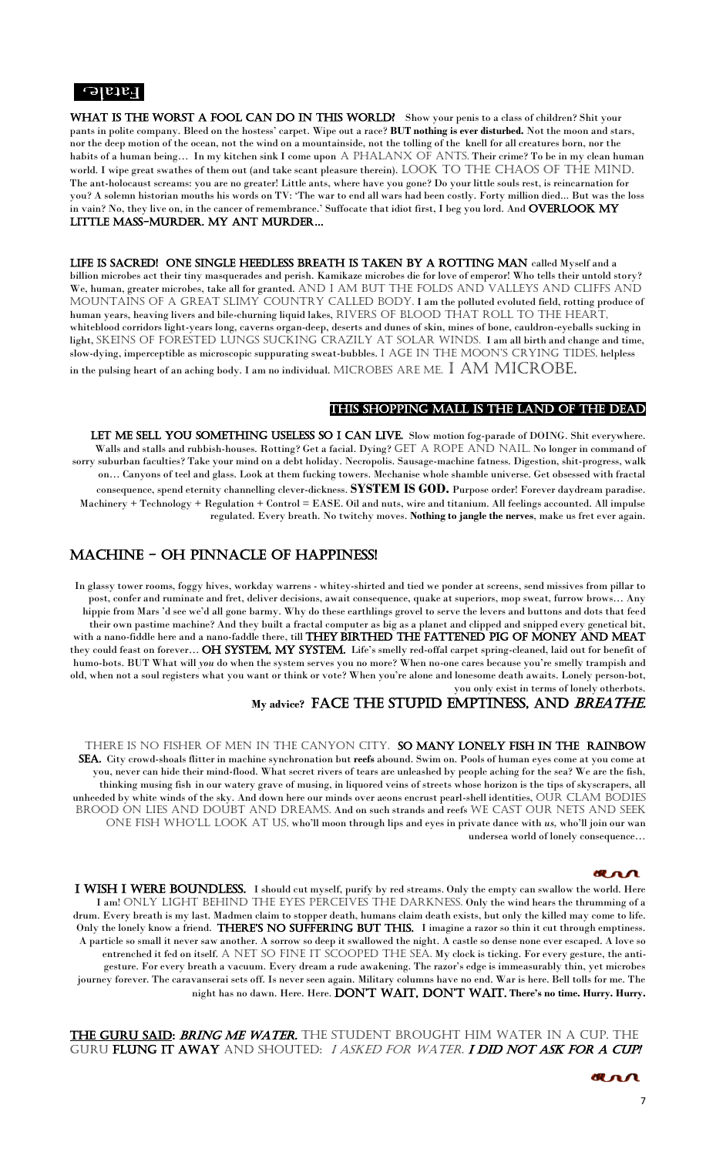7

#### $\lceil -\text{length} \rceil$

WHAT IS THE WORST A FOOL CAN DO IN THIS WORLD? Show your penis to a class of children? Shit your pants in polite company. Bleed on the hostess' carpet. Wipe out a race? **BUT nothing is ever disturbed.** Not the moon and stars, nor the deep motion of the ocean, not the wind on a mountainside, not the tolling of the knell for all creatures born, nor the habits of a human being... In my kitchen sink I come upon A PHALANX OF ANTS. Their crime? To be in my clean human world. I wipe great swathes of them out (and take scant pleasure therein). LOOK TO THE CHAOS OF THE MIND. The ant-holocaust screams: you are no greater! Little ants, where have you gone? Do your little souls rest, is reincarnation for you? A solemn historian mouths his words on TV: 'The war to end all wars had been costly. Forty million died... But was the loss in vain? No, they live on, in the cancer of remembrance.' Suffocate that idiot first, I beg you lord. And  $\overline{\text{OVERLOOK} \text{ MY}}$ little mass-murder. my ant murder…

LIFE IS SACRED! ONE SINGLE HEEDLESS BREATH IS TAKEN BY A ROTTING MAN called Myself and a billion microbes act their tiny masquerades and perish. Kamikaze microbes die for love of emperor! Who tells their untold story? We, human, greater microbes, take all for granted. AND I AM BUT THE FOLDS AND VALLEYS AND CLIFFS AND MOUNTAINS OF A GREAT SLIMY COUNTRY CALLED BODY. I am the polluted evoluted field, rotting produce of human years, heaving livers and bile-churning liquid lakes, RIVERS OF BLOOD THAT ROLL TO THE HEART, whiteblood corridors light-years long, caverns organ-deep, deserts and dunes of skin, mines of bone, cauldron-eyeballs sucking in light, SKEINS OF FORESTED LUNGS SUCKING CRAZILY AT SOLAR WINDS. I am all birth and change and time, slow-dying, imperceptible as microscopic suppurating sweat-bubbles. I AGE IN THE MOON'S CRYING TIDES, helpless in the pulsing heart of an aching body. I am no individual. MICROBES ARE ME.  $\;$  I AM MICROBE.

LET ME SELL YOU SOMETHING USELESS SO I CAN LIVE. Slow motion fog-parade of DOING. Shit everywhere. Walls and stalls and rubbish-houses. Rotting? Get a facial. Dying? GET A ROPE AND NAIL. No longer in command of sorry suburban faculties? Take your mind on a debt holiday. Necropolis. Sausage-machine fatness. Digestion, shit-progress, walk on… Canyons of teel and glass. Look at them fucking towers. Mechanise whole shamble universe. Get obsessed with fractal consequence, spend eternity channelling clever-dickness. **SYSTEM IS GOD.** Purpose order! Forever daydream paradise. Machinery + Technology + Regulation + Control = EASE. Oil and nuts, wire and titanium. All feelings accounted. All impulse regulated. Every breath. No twitchy moves. **Nothing to jangle the nerves**, make us fret ever again.

#### This shopping mall is the land of the DEAD

THERE IS NO FISHER OF MEN IN THE CANYON CITY. SO MANY LONELY FISH IN THE RAINBOW sea. City crowd-shoals flitter in machine synchronation but **reefs** abound. Swim on. Pools of human eyes come at you come at you, never can hide their mind-flood. What secret rivers of tears are unleashed by people aching for the sea? We are the fish, thinking musing fish in our watery grave of musing, in liquored veins of streets whose horizon is the tips of skyscrapers, all unheeded by white winds of the sky. And down here our minds over aeons encrust pearl-shell identities, OUR CLAM BODIES BROOD ON LIES AND DOUBT AND DREAMS. And on such strands and reefs WE CAST OUR NETS AND SEEK ONE FISH WHO'LL LOOK AT US, who'll moon through lips and eyes in private dance with *us*, who'll join our wan undersea world of lonely consequence…



I WISH I WERE BOUNDLESS. I should cut myself, purify by red streams. Only the empty can swallow the world. Here I am! ONLY LIGHT BEHIND THE EYES PERCEIVES THE DARKNESS. Only the wind hears the thrumming of a drum. Every breath is my last. Madmen claim to stopper death, humans claim death exists, but only the killed may come to life. Only the lonely know a friend. THERE'S NO SUFFERING BUT THIS. I imagine a razor so thin it cut through emptiness. A particle so small it never saw another. A sorrow so deep it swallowed the night. A castle so dense none ever escaped. A love so entrenched it fed on itself. A NET SO FINE IT SCOOPED THE SEA. My clock is ticking. For every gesture, the antigesture. For every breath a vacuum. Every dream a rude awakening. The razor's edge is immeasurably thin, yet microbes journey forever. The caravanserai sets off. Is never seen again. Military columns have no end. War is here. Bell tolls for me. The night has no dawn. Here. Here. DON'T WAIT, DON'T WAIT. There's no time. Hurry. Hurry.

#### T<del>he guru said: *Bring me water.* The student brought him water in a cup. The</del> GURU **FLUNG IT AWAY** AND SHOUTED: I ASKED FOR WATER. **I DID NOT ASK FOR A CUP!**

arr

## MACHINE - OH pinnacle of happiness!

In glassy tower rooms, foggy hives, workday warrens - whitey-shirted and tied we ponder at screens, send missives from pillar to post, confer and ruminate and fret, deliver decisions, await consequence, quake at superiors, mop sweat, furrow brows… Any hippie from Mars 'd see we'd all gone barmy. Why do these earthlings grovel to serve the levers and buttons and dots that feed their own pastime machine? And they built a fractal computer as big as a planet and clipped and snipped every genetical bit, with a nano-fiddle here and a nano-faddle there, till THEY BIRTHED THE FATTENED PIG OF MONEY AND MEAT they could feast on forever... OH SYSTEM, MY SYSTEM. Life's smelly red-offal carpet spring-cleaned, laid out for benefit of humo-bots. BUT What will *you* do when the system serves you no more? When no-one cares because you're smelly trampish and old, when not a soul registers what you want or think or vote? When you're alone and lonesome death awaits. Lonely person-bot, you only exist in terms of lonely otherbots.

## **My advice?** Face the stupid emptiness, and breathe.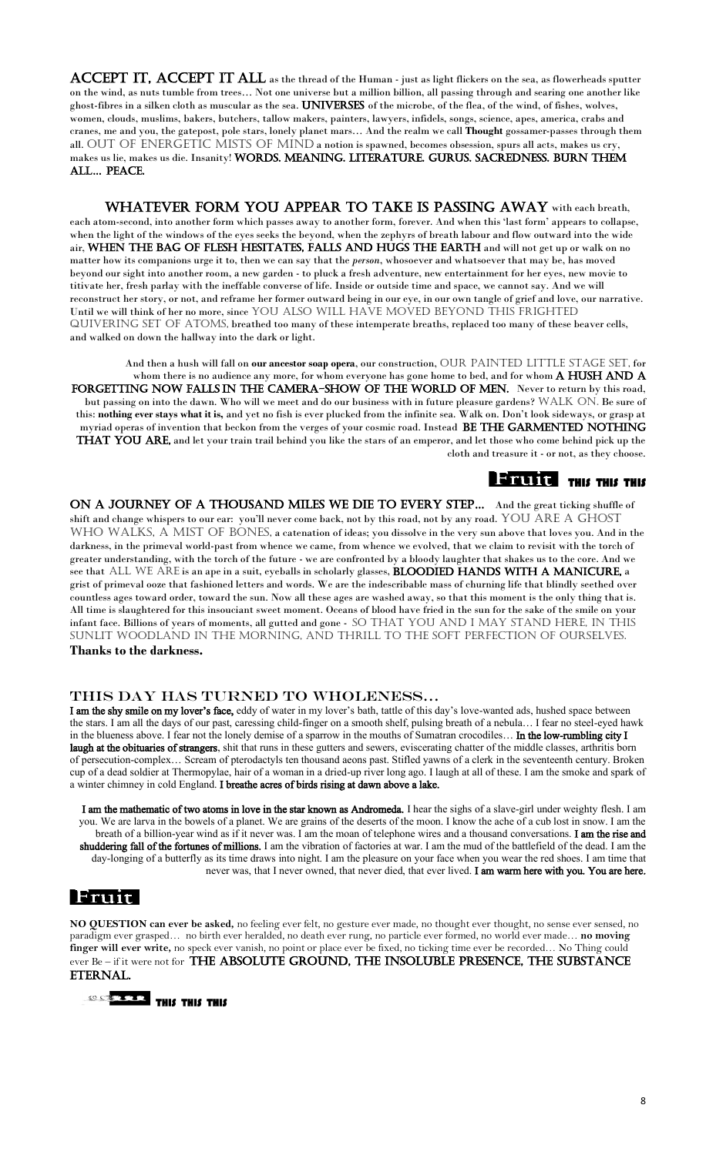ACCEPT IT, ACCEPT IT ALL as the thread of the Human - just as light flickers on the sea, as flowerheads sputter on the wind, as nuts tumble from trees… Not one universe but a million billion, all passing through and searing one another like ghost-fibres in a silken cloth as muscular as the sea. UNIVERSES of the microbe, of the flea, of the wind, of fishes, wolves, women, clouds, muslims, bakers, butchers, tallow makers, painters, lawyers, infidels, songs, science, apes, america, crabs and cranes, me and you, the gatepost, pole stars, lonely planet mars… And the realm we call **Thought** gossamer-passes through them all. OUT OF ENERGETIC MISTS OF MIND a notion is spawned, becomes obsession, spurs all acts, makes us cry, makes us lie, makes us die. Insanity! WORDS. MEANING. LITERATURE. GURUS. SACREDNESS. BURN THEM all… Peace.

WHATEVER FORM YOU APPEAR TO TAKE IS PASSING AWAY with each breath, each atom-second, into another form which passes away to another form, forever. And when this 'last form' appears to collapse, when the light of the windows of the eyes seeks the beyond, when the zephyrs of breath labour and flow outward into the wide air, WHEN THE BAG OF FLESH HESITATES, FALLS AND HUGS THE EARTH and will not get up or walk on no matter how its companions urge it to, then we can say that the *person*, whosoever and whatsoever that may be, has moved beyond our sight into another room, a new garden - to pluck a fresh adventure, new entertainment for her eyes, new movie to titivate her, fresh parlay with the ineffable converse of life. Inside or outside time and space, we cannot say. And we will reconstruct her story, or not, and reframe her former outward being in our eye, in our own tangle of grief and love, our narrative. Until we will think of her no more, since YOU ALSO WILL HAVE MOVED BEYOND THIS FRIGHTED quivering set of atoms, breathed too many of these intemperate breaths, replaced too many of these beaver cells, and walked on down the hallway into the dark or light.

And then a hush will fall on **our ancestor soap opera**, our construction, OUR PAINTED LITTLE STAGE SET, for whom there is no audience any more, for whom everyone has gone home to bed, and for whom  $A$  HUSH AND  $A$ FORGETTING NOW FALLS IN THE CAMERA-SHOW OF THE WORLD OF MEN. Never to return by this road, but passing on into the dawn. Who will we meet and do our business with in future pleasure gardens? WALK ON. Be sure of this: **nothing ever stays what it is,** and yet no fish is ever plucked from the infinite sea. Walk on. Don't look sideways, or grasp at myriad operas of invention that beckon from the verges of your cosmic road. Instead BE THE GARMENTED NOTHING **THAT YOU ARE,** and let your train trail behind you like the stars of an emperor, and let those who come behind pick up the cloth and treasure it - or not, as they choose.

# **BEFORE THIS THIS THIS**

ON A JOURNEY OF A THOUSAND MILES WE DIE TO EVERY STEP... And the great ticking shuffle of shift and change whispers to our ear: you'll never come back, not by this road, not by any road. YOU ARE A GHOST WHO WALKS, A MIST OF BONES, a catenation of ideas; you dissolve in the very sun above that loves you. And in the darkness, in the primeval world-past from whence we came, from whence we evolved, that we claim to revisit with the torch of greater understanding, with the torch of the future - we are confronted by a bloody laughter that shakes us to the core. And we see that ALL WE ARE is an ape in a suit, eyeballs in scholarly glasses, **BLOODIED HANDS WITH A MANICURE**, a grist of primeval ooze that fashioned letters and words. We are the indescribable mass of churning life that blindly seethed over countless ages toward order, toward the sun. Now all these ages are washed away, so that this moment is the only thing that is. All time is slaughtered for this insouciant sweet moment. Oceans of blood have fried in the sun for the sake of the smile on your infant face. Billions of years of moments, all gutted and gone - SO THAT YOU AND I MAY STAND HERE, IN THIS sunlit woodland in the morning, and thrill to the soft perfection of ourselves.

I am the shy smile on my lover's face, eddy of water in my lover's bath, tattle of this day's love-wanted ads, hushed space between the stars. I am all the days of our past, caressing child-finger on a smooth shelf, pulsing breath of a nebula… I fear no steel-eyed hawk in the blueness above. I fear not the lonely demise of a sparrow in the mouths of Sumatran crocodiles... In the low-rumbling city I laugh at the obituaries of strangers, shit that runs in these gutters and sewers, eviscerating chatter of the middle classes, arthritis born of persecution-complex… Scream of pterodactyls ten thousand aeons past. Stifled yawns of a clerk in the seventeenth century. Broken cup of a dead soldier at Thermopylae, hair of a woman in a dried-up river long ago. I laugh at all of these. I am the smoke and spark of a winter chimney in cold England. I breathe acres of birds rising at dawn above a lake.

I am the mathematic of two atoms in love in the star known as Andromeda. I hear the sighs of a slave-girl under weighty flesh. I am you. We are larva in the bowels of a planet. We are grains of the deserts of the moon. I know the ache of a cub lost in snow. I am the breath of a billion-year wind as if it never was. I am the moan of telephone wires and a thousand conversations. I am the rise and shuddering fall of the fortunes of millions. I am the vibration of factories at war. I am the mud of the battlefield of the dead. I am the day-longing of a butterfly as its time draws into night. I am the pleasure on your face when you wear the red shoes. I am time that never was, that I never owned, that never died, that ever lived. I am warm here with you. You are here.

# |Fruit|

#### **Thanks to the darkness.**

#### This day has turned to Wholeness…

**NO QUESTION can ever be asked,** no feeling ever felt, no gesture ever made, no thought ever thought, no sense ever sensed, no paradigm ever grasped… no birth ever heralded, no death ever rung, no particle ever formed, no world ever made… **no moving finger will ever write,** no speck ever vanish, no point or place ever be fixed, no ticking time ever be recorded… No Thing could ever Be – if it were not for THE ABSOLUTE GROUND, THE INSOLUBLE PRESENCE, THE SUBSTANCE ETERNAL.

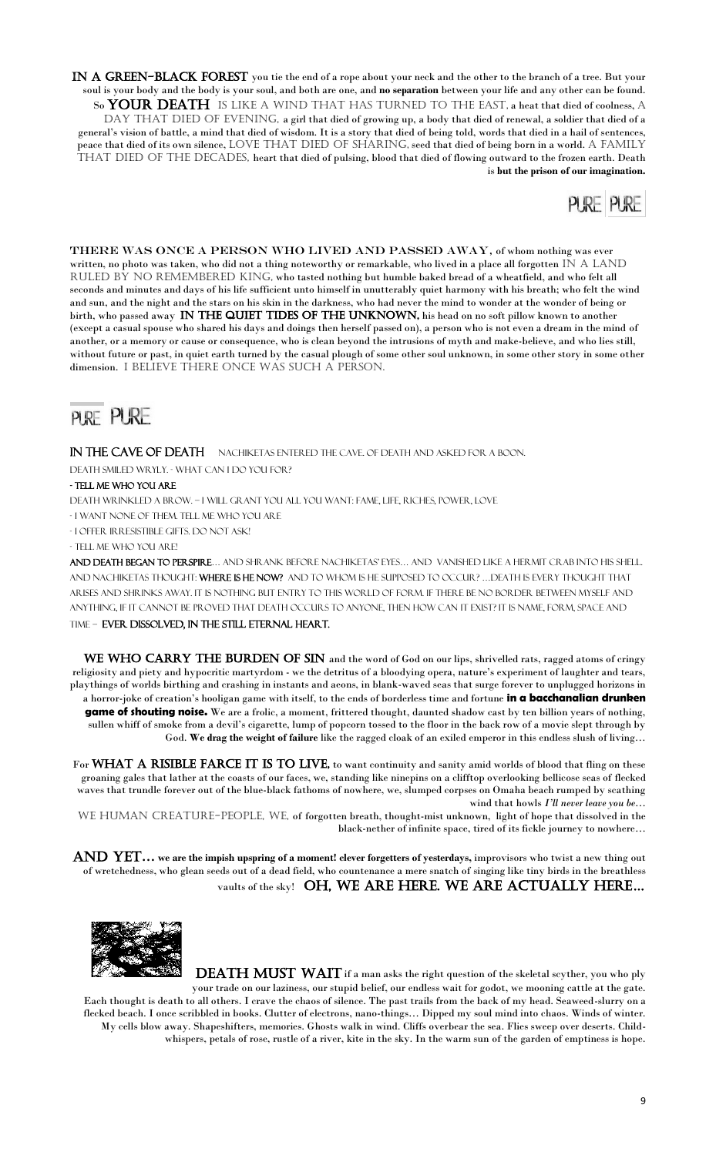IN A GREEN-BLACK FOREST you tie the end of a rope about your neck and the other to the branch of a tree. But your soul is your body and the body is your soul, and both are one, and **no separation** between your life and any other can be found. So YOUR DEATH IS LIKE A WIND THAT HAS TURNED TO THE EAST, a heat that died of coolness, A DAY THAT DIED OF EVENING, a girl that died of growing up, a body that died of renewal, a soldier that died of a general's vision of battle, a mind that died of wisdom. It is a story that died of being told, words that died in a hail of sentences, peace that died of its own silence, LOVE THAT DIED OF SHARING, seed that died of being born in a world. A FAMILY THAT DIED OF THE DECADES, heart that died of pulsing, blood that died of flowing outward to the frozen earth. Death is **but the prison of our imagination.**



THERE WAS ONCE A PERSON WHO LIVED AND PASSED AWAY, of whom nothing was ever written, no photo was taken, who did not a thing noteworthy or remarkable, who lived in a place all forgotten  $IN A$  LAND RULED BY NO REMEMBERED KING, who tasted nothing but humble baked bread of a wheatfield, and who felt all seconds and minutes and days of his life sufficient unto himself in unutterably quiet harmony with his breath; who felt the wind and sun, and the night and the stars on his skin in the darkness, who had never the mind to wonder at the wonder of being or birth, who passed away IN THE QUIET TIDES OF THE UNKNOWN, his head on no soft pillow known to another (except a casual spouse who shared his days and doings then herself passed on), a person who is not even a dream in the mind of another, or a memory or cause or consequence, who is clean beyond the intrusions of myth and make-believe, and who lies still, without future or past, in quiet earth turned by the casual plough of some other soul unknown, in some other story in some other dimension. I believe there once was such a person.

# PURE PURE

#### IN THE CAVE OF DEATH NACHIKETAS ENTERED THE CAVE. OF DEATH AND ASKED FOR A BOON.

WE WHO CARRY THE BURDEN OF SIN and the word of God on our lips, shrivelled rats, ragged atoms of cringy religiosity and piety and hypocritic martyrdom - we the detritus of a bloodying opera, nature's experiment of laughter and tears, playthings of worlds birthing and crashing in instants and aeons, in blank-waved seas that surge forever to unplugged horizons in a horror-joke of creation's hooligan game with itself, to the ends of borderless time and fortune **in a bacchanalian drunken game of shouting noise.** We are a frolic, a moment, frittered thought, daunted shadow cast by ten billion years of nothing, sullen whiff of smoke from a devil's cigarette, lump of popcorn tossed to the floor in the back row of a movie slept through by God. **We drag the weight of failure** like the ragged cloak of an exiled emperor in this endless slush of living…

For WHAT A RISIBLE FARCE IT IS TO LIVE, to want continuity and sanity amid worlds of blood that fling on these groaning gales that lather at the coasts of our faces, we, standing like ninepins on a clifftop overlooking bellicose seas of flecked waves that trundle forever out of the blue-black fathoms of nowhere, we, slumped corpses on Omaha beach rumped by scathing wind that howls *I'll never leave you be*… WE HUMAN CREATURE-PEOPLE, WE, of forgotten breath, thought-mist unknown, light of hope that dissolved in the

Death smiled wryly. - What can I do you for?

#### - Tell me who you are

Death wrinkled a brow. – I will grant you all you want: fame, life, riches, power, love

- I want none of them. Tell me who you are

AND YET... we are the impish upspring of a moment! clever forgetters of yesterdays, improvisors who twist a new thing out of wretchedness, who glean seeds out of a dead field, who countenance a mere snatch of singing like tiny birds in the breathless

### vaults of the sky! OH, WE ARE HERE. WE ARE ACTUALLY HERE...

- I offer irresistible gifts. Do not ask!

#### - Tell me who you are!

And death began to perspire… and shrank before Nachiketas' eyes… and vanished like a hermit crab into his shell. AND NACHIKETAS THOUGHT: WHERE IS HE NOW? AND TO WHOM IS HE SUPPOSED TO OCCUR? ... DEATH IS EVERY THOUGHT THAT arises and shrinks away. It is nothing but entry to this world of form. If there be no border between myself and anything, if it cannot be proved that death occurs to anyone, then how can it exist? It is name, form, space and time – ever dissolved, in the still eternal heart.

**DEATH MUST WAIT** if a man asks the right question of the skeletal scyther, you who ply your trade on our laziness, our stupid belief, our endless wait for godot, we mooning cattle at the gate. Each thought is death to all others. I crave the chaos of silence. The past trails from the back of my head. Seaweed-slurry on a flecked beach. I once scribbled in books. Clutter of electrons, nano-things… Dipped my soul mind into chaos. Winds of winter. My cells blow away. Shapeshifters, memories. Ghosts walk in wind. Cliffs overbear the sea. Flies sweep over deserts. Childwhispers, petals of rose, rustle of a river, kite in the sky. In the warm sun of the garden of emptiness is hope.

black-nether of infinite space, tired of its fickle journey to nowhere…

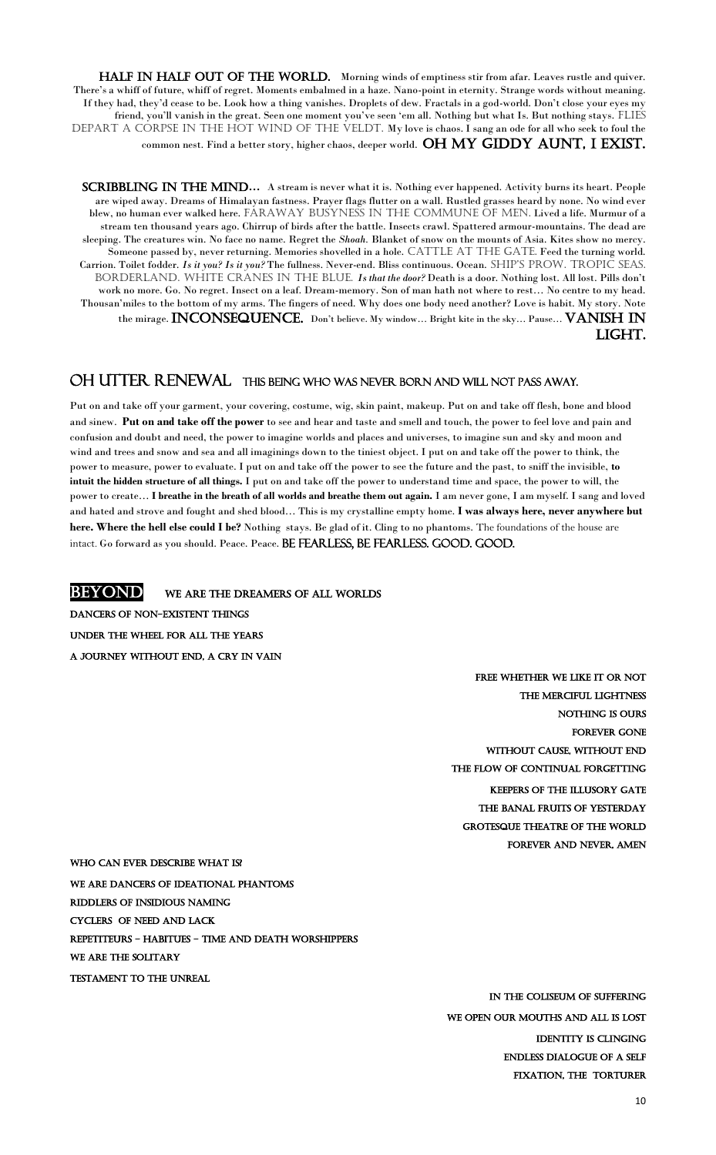10

HALF IN HALF OUT OF THE WORLD. Morning winds of emptiness stir from afar. Leaves rustle and quiver. There's a whiff of future, whiff of regret. Moments embalmed in a haze. Nano-point in eternity. Strange words without meaning. If they had, they'd cease to be. Look how a thing vanishes. Droplets of dew. Fractals in a god-world. Don't close your eyes my friend, you'll vanish in the great. Seen one moment you've seen 'em all. Nothing but what Is. But nothing stays. FLIES DEPART A CORPSE IN THE HOT WIND OF THE VELDT. My love is chaos. I sang an ode for all who seek to foul the common nest. Find a better story, higher chaos, deeper world. OH MY GIDDY AUNT, I EXIST.

SCRIBBLING IN THE MIND... A stream is never what it is. Nothing ever happened. Activity burns its heart. People are wiped away. Dreams of Himalayan fastness. Prayer flags flutter on a wall. Rustled grasses heard by none. No wind ever blew, no human ever walked here. FARAWAY BUSYNESS IN THE COMMUNE OF MEN. Lived a life. Murmur of a stream ten thousand years ago. Chirrup of birds after the battle. Insects crawl. Spattered armour-mountains. The dead are sleeping. The creatures win. No face no name. Regret the *Shoah.* Blanket of snow on the mounts of Asia. Kites show no mercy. Someone passed by, never returning. Memories shovelled in a hole. CATTLE AT THE GATE. Feed the turning world. Carrion. Toilet fodder. *Is it you? Is it you?* The fullness. Never-end. Bliss continuous. Ocean. SHIP'S PROW. TROPIC SEAS. BORDERLAND. WHITE CRANES IN THE BLUE. *Is that the door*? Death is a door. Nothing lost. All lost. Pills don't work no more. Go. No regret. Insect on a leaf. Dream-memory. Son of man hath not where to rest… No centre to my head. Thousan'miles to the bottom of my arms. The fingers of need. Why does one body need another? Love is habit. My story. Note the mirage. INCONSEQUENCE. Don't believe. My window... Bright kite in the sky... Pause... VANISH IN light.

Put on and take off your garment, your covering, costume, wig, skin paint, makeup. Put on and take off flesh, bone and blood and sinew. **Put on and take off the power** to see and hear and taste and smell and touch, the power to feel love and pain and confusion and doubt and need, the power to imagine worlds and places and universes, to imagine sun and sky and moon and wind and trees and snow and sea and all imaginings down to the tiniest object. I put on and take off the power to think, the power to measure, power to evaluate. I put on and take off the power to see the future and the past, to sniff the invisible, **to intuit the hidden structure of all things.** I put on and take off the power to understand time and space, the power to will, the power to create… **I breathe in the breath of all worlds and breathe them out again.** I am never gone, I am myself. I sang and loved and hated and strove and fought and shed blood… This is my crystalline empty home. **I was always here, never anywhere but here. Where the hell else could I be?** Nothing stays. Be glad of it. Cling to no phantoms. The foundations of the house are intact. Go forward as you should. Peace. Peace. BE FEARLESS, BE FEARLESS. GOOD. GOOD.

**BEYOND** WE ARE THE DREAMERS OF ALL WORLDS Dancers of non-existent things Under the wheel for all thE years A Journey without end, a cry in vain

> FREE WHETHER WE LIKE IT OR NOT the merciful lightness Nothing is ours FOREVER GONE Without cause, without end The flow of continual forgetting KEEPERS OF THE ILLUSORY GATE The banal fruits of yesterday GROTESQUE THEATRE OF THE WORLD Forever and never, amen

# OH Utter RenewalThis being WHO was never born and will not pass away.

#### We are Dancers of ideational phantoms

Riddlers of insidious naming

cyclers of need and lack

REPETITEURS - HABITUES - TIME AND DEATH WORSHIPPERS

We are the solitary

Testament to the unreal

In the coliseum of suffering

We Open our mouths and all is lost

Identity is clinging

Endless dialogue of a self

Fixation, the torturer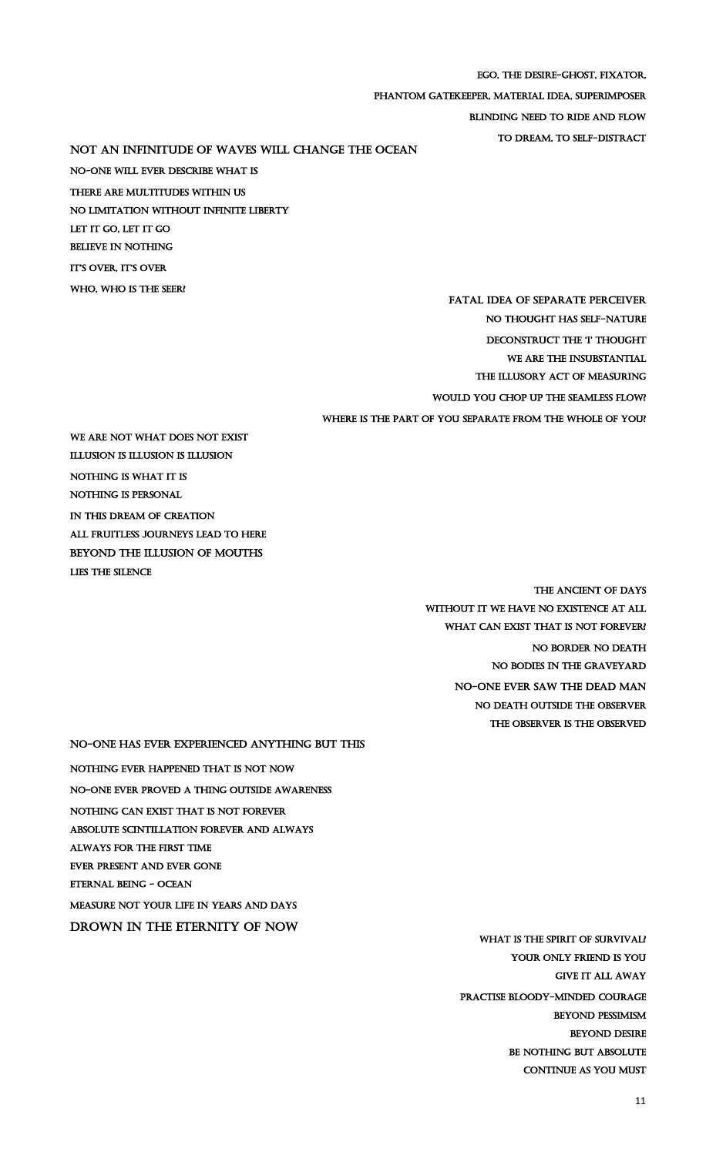Ego, the desire-ghost, fixator,

phantom gatekeeper, material idea, superimposer

Not an infinitude of waves will change the ocean No-one will ever describe what is There are multitudes within us No limitation without infinite liberty LET IT GO, LET IT GO Believe in nothing it'S over, it'S over WHO, WHO IS THE SEER?

Blinding need to ride and flow

to dream, to self-distract

FATAL IDEA OF SEPARATE PERCEIVER No thought has self-nature DECONSTRUCT THE 'I' THOUGHT WE ARE THE INSUBSTANTIAL THE ILLUSORY ACT OF MEASURING Would you chop up the seamless flow? Where is the part of you separate from the whole of you?

We are not what does not exist Illusion is illusion is illusion Nothing is what it is Nothing is personal In This dream of creation All fruitless journeys lead to here BEYOND THE ILLUSION OF MOUTHS lies the silence

> The Ancient of Days without it we have no existence at all WHAT CAN EXIST THAT IS NOT FOREVER? No border no death No bodies in the graveyard No-one ever saw the dead man no death outside the observer The observer is the observed

No-one has ever experienced anything but this Nothing ever happened that is not Now No-one ever proved a thing outside awareness Nothing can exist that is not forever Absolute scintillation forever and always Always for the first time ever present and ever gone

Eternal being - ocean

#### MEASURE NOT yOUR LIFE in years and days

DROWN IN THE ETERNITY OF NOW

WHAT IS THE SPIRIT OF SURVIVAL?

Your only friend is you

GIVE IT ALL AWAY

Practise bloody-minded courage

Beyond pessimism

Beyond desire

BE NOTHING BUT ABSOLUTE

CONTINUE AS YOU MUST